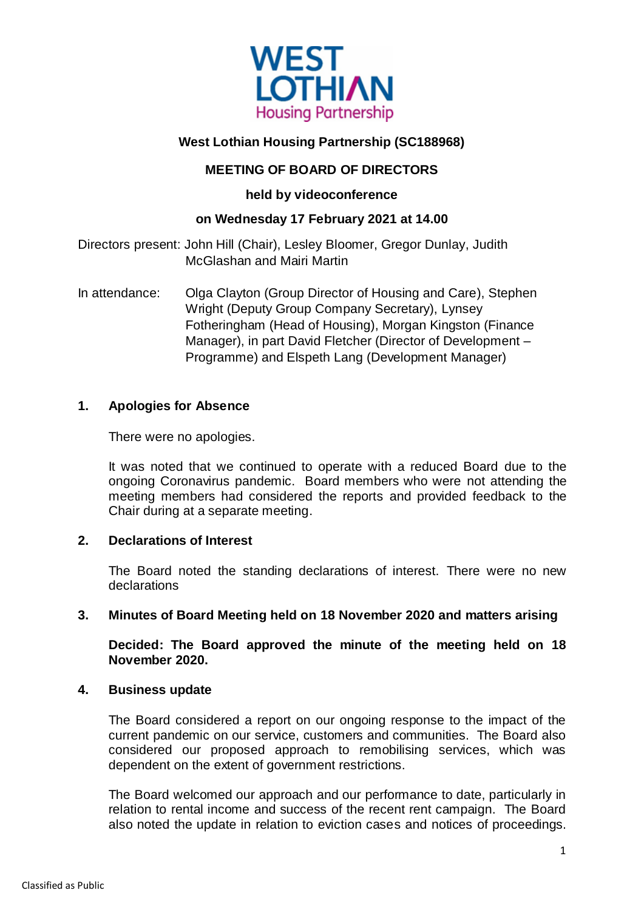

# **West Lothian Housing Partnership (SC188968)**

# **MEETING OF BOARD OF DIRECTORS**

# **held by videoconference**

# **on Wednesday 17 February 2021 at 14.00**

Directors present: John Hill (Chair), Lesley Bloomer, Gregor Dunlay, Judith McGlashan and Mairi Martin

In attendance: Olga Clayton (Group Director of Housing and Care), Stephen Wright (Deputy Group Company Secretary), Lynsey Fotheringham (Head of Housing), Morgan Kingston (Finance Manager), in part David Fletcher (Director of Development – Programme) and Elspeth Lang (Development Manager)

### **1. Apologies for Absence**

There were no apologies.

It was noted that we continued to operate with a reduced Board due to the ongoing Coronavirus pandemic. Board members who were not attending the meeting members had considered the reports and provided feedback to the Chair during at a separate meeting.

### **2. Declarations of Interest**

The Board noted the standing declarations of interest. There were no new declarations

### **3. Minutes of Board Meeting held on 18 November 2020 and matters arising**

**Decided: The Board approved the minute of the meeting held on 18 November 2020.**

### **4. Business update**

The Board considered a report on our ongoing response to the impact of the current pandemic on our service, customers and communities. The Board also considered our proposed approach to remobilising services, which was dependent on the extent of government restrictions.

The Board welcomed our approach and our performance to date, particularly in relation to rental income and success of the recent rent campaign. The Board also noted the update in relation to eviction cases and notices of proceedings.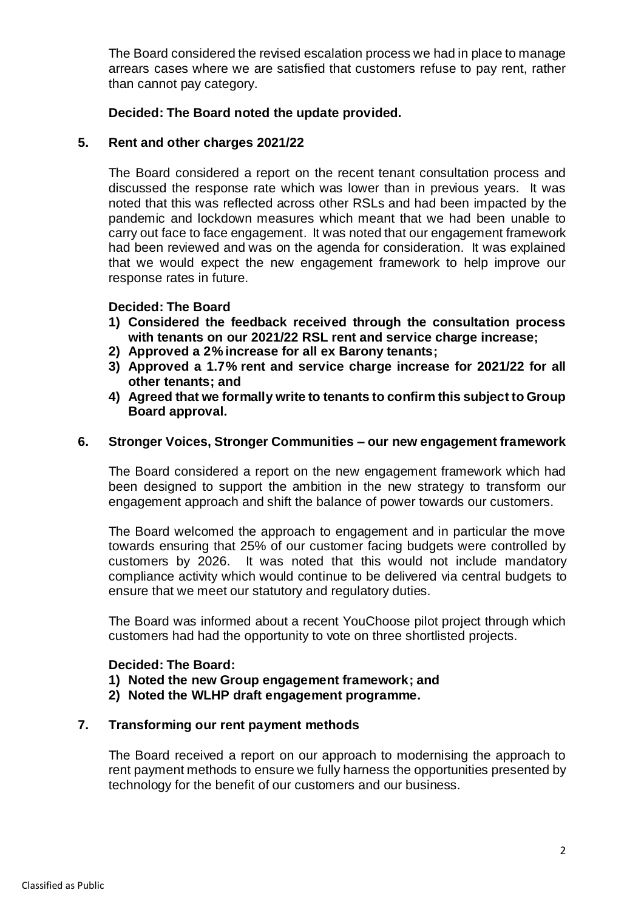The Board considered the revised escalation process we had in place to manage arrears cases where we are satisfied that customers refuse to pay rent, rather than cannot pay category.

#### **Decided: The Board noted the update provided.**

#### **5. Rent and other charges 2021/22**

The Board considered a report on the recent tenant consultation process and discussed the response rate which was lower than in previous years. It was noted that this was reflected across other RSLs and had been impacted by the pandemic and lockdown measures which meant that we had been unable to carry out face to face engagement. It was noted that our engagement framework had been reviewed and was on the agenda for consideration. It was explained that we would expect the new engagement framework to help improve our response rates in future.

### **Decided: The Board**

- **1) Considered the feedback received through the consultation process with tenants on our 2021/22 RSL rent and service charge increase;**
- **2) Approved a 2% increase for all ex Barony tenants;**
- **3) Approved a 1.7% rent and service charge increase for 2021/22 for all other tenants; and**
- **4) Agreed that we formally write to tenants to confirm this subject to Group Board approval.**

#### **6. Stronger Voices, Stronger Communities – our new engagement framework**

The Board considered a report on the new engagement framework which had been designed to support the ambition in the new strategy to transform our engagement approach and shift the balance of power towards our customers.

The Board welcomed the approach to engagement and in particular the move towards ensuring that 25% of our customer facing budgets were controlled by customers by 2026. It was noted that this would not include mandatory compliance activity which would continue to be delivered via central budgets to ensure that we meet our statutory and regulatory duties.

The Board was informed about a recent YouChoose pilot project through which customers had had the opportunity to vote on three shortlisted projects.

#### **Decided: The Board:**

- **1) Noted the new Group engagement framework; and**
- **2) Noted the WLHP draft engagement programme.**

#### **7. Transforming our rent payment methods**

The Board received a report on our approach to modernising the approach to rent payment methods to ensure we fully harness the opportunities presented by technology for the benefit of our customers and our business.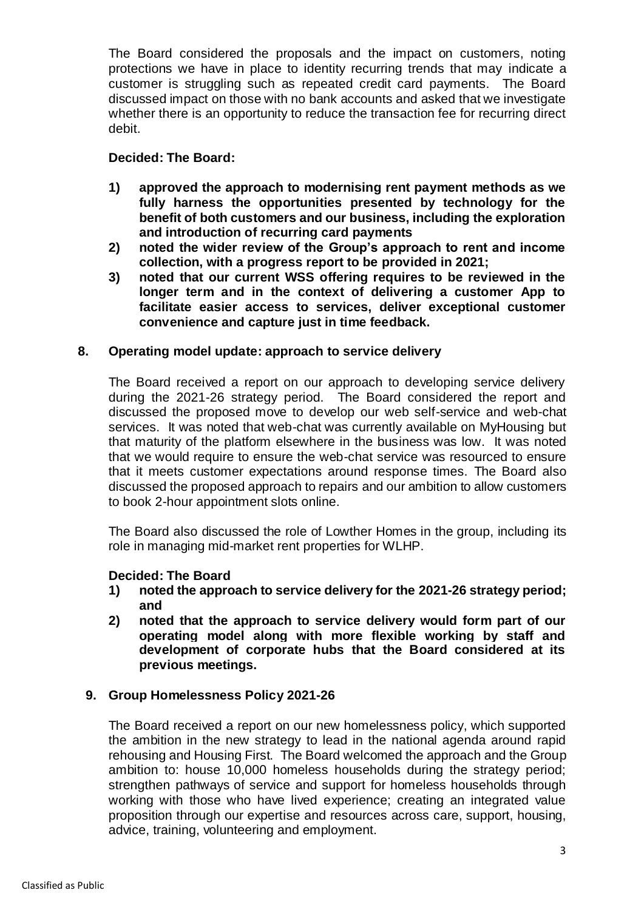The Board considered the proposals and the impact on customers, noting protections we have in place to identity recurring trends that may indicate a customer is struggling such as repeated credit card payments. The Board discussed impact on those with no bank accounts and asked that we investigate whether there is an opportunity to reduce the transaction fee for recurring direct debit.

# **Decided: The Board:**

- **1) approved the approach to modernising rent payment methods as we fully harness the opportunities presented by technology for the benefit of both customers and our business, including the exploration and introduction of recurring card payments**
- **2) noted the wider review of the Group's approach to rent and income collection, with a progress report to be provided in 2021;**
- **3) noted that our current WSS offering requires to be reviewed in the longer term and in the context of delivering a customer App to facilitate easier access to services, deliver exceptional customer convenience and capture just in time feedback.**

### **8. Operating model update: approach to service delivery**

The Board received a report on our approach to developing service delivery during the 2021-26 strategy period. The Board considered the report and discussed the proposed move to develop our web self-service and web-chat services. It was noted that web-chat was currently available on MyHousing but that maturity of the platform elsewhere in the business was low. It was noted that we would require to ensure the web-chat service was resourced to ensure that it meets customer expectations around response times. The Board also discussed the proposed approach to repairs and our ambition to allow customers to book 2-hour appointment slots online.

The Board also discussed the role of Lowther Homes in the group, including its role in managing mid-market rent properties for WLHP.

### **Decided: The Board**

- **1) noted the approach to service delivery for the 2021-26 strategy period; and**
- **2) noted that the approach to service delivery would form part of our operating model along with more flexible working by staff and development of corporate hubs that the Board considered at its previous meetings.**

# **9. Group Homelessness Policy 2021-26**

The Board received a report on our new homelessness policy, which supported the ambition in the new strategy to lead in the national agenda around rapid rehousing and Housing First. The Board welcomed the approach and the Group ambition to: house 10,000 homeless households during the strategy period; strengthen pathways of service and support for homeless households through working with those who have lived experience; creating an integrated value proposition through our expertise and resources across care, support, housing, advice, training, volunteering and employment.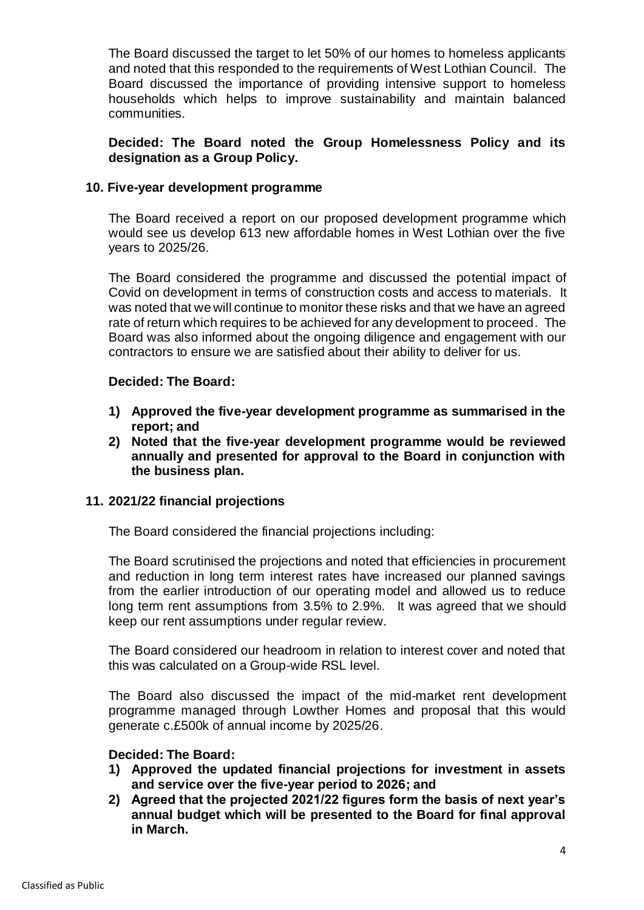The Board discussed the target to let 50% of our homes to homeless applicants and noted that this responded to the requirements of West Lothian Council. The Board discussed the importance of providing intensive support to homeless households which helps to improve sustainability and maintain balanced communities.

## **Decided: The Board noted the Group Homelessness Policy and its designation as a Group Policy.**

#### **10. Five-year development programme**

The Board received a report on our proposed development programme which would see us develop 613 new affordable homes in West Lothian over the five years to 2025/26.

The Board considered the programme and discussed the potential impact of Covid on development in terms of construction costs and access to materials. It was noted that we will continue to monitor these risks and that we have an agreed rate of return which requires to be achieved for any development to proceed. The Board was also informed about the ongoing diligence and engagement with our contractors to ensure we are satisfied about their ability to deliver for us.

#### **Decided: The Board:**

- **1) Approved the five-year development programme as summarised in the report; and**
- **2) Noted that the five-year development programme would be reviewed annually and presented for approval to the Board in conjunction with the business plan.**

### **11. 2021/22 financial projections**

The Board considered the financial projections including:

The Board scrutinised the projections and noted that efficiencies in procurement and reduction in long term interest rates have increased our planned savings from the earlier introduction of our operating model and allowed us to reduce long term rent assumptions from 3.5% to 2.9%. It was agreed that we should keep our rent assumptions under regular review.

The Board considered our headroom in relation to interest cover and noted that this was calculated on a Group-wide RSL level.

The Board also discussed the impact of the mid-market rent development programme managed through Lowther Homes and proposal that this would generate c.£500k of annual income by 2025/26.

#### **Decided: The Board:**

- **1) Approved the updated financial projections for investment in assets and service over the five-year period to 2026; and**
- **2) Agreed that the projected 2021/22 figures form the basis of next year's annual budget which will be presented to the Board for final approval in March.**